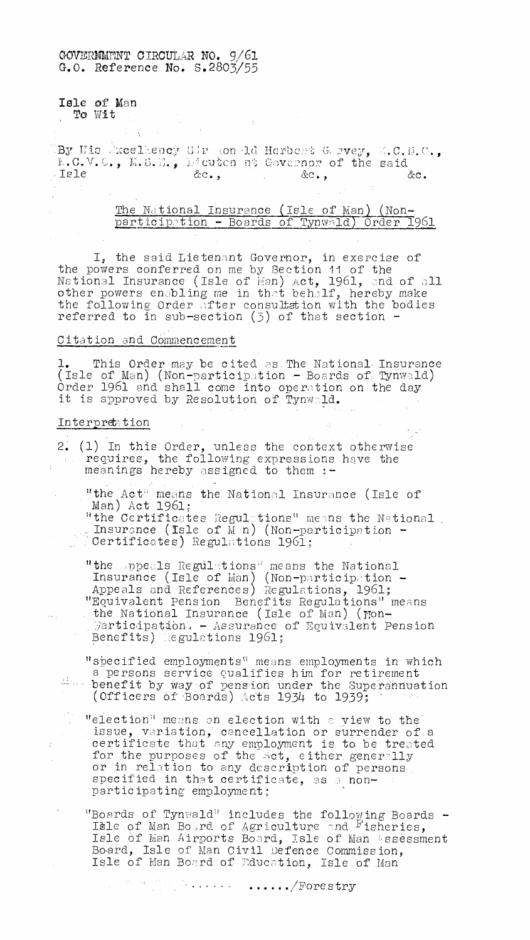# GOVERNMnNT CIRCULAR NO. 9/61 G.O. Reference No. 5.2803/55

Isle of Man

To Wit

By His Excellency Sir sontld Herbert Gervey, M.B.D., hieuten my Governor of the said ,Isle Vic., &c., &c.

 $\sim 10$ 

The National Insurance (Isle of Man) (Nonparticipation - Boards of Tynwald) Order 1961

I, the said Lietenant Governor, in exercise of the powers conferred on me by Section 11 of the National Insurance (Isle of Man) Act, 1961, and of all  $\,$ other powers enabling me in that behalf, hereby make the following Order after consultation with the bodies referred to in sub-section (3) of that section -

### Citation and Commencement

1. This Order may be cited as.The National, Insurance (Isle of Man) (Non-participation - Boards of Tynwald) Order 1961 and shall come into operation on the day it is approved by Resolution of Tynwald.

### Interpretation

 $\phi_{\rm{eff}}$ 

 $\epsilon$ 

2. (1) In this Order, unless the context otherwise requires, the following expressions have the meanings hereby assigned to them :-

"the Act" means the National Insurance (Isle of Man) Act 1961;

"the Certificates Regulations" means the National. Insurance (Isle of  $M \cap n$ ) (Non-participation -Certificates) Regulations 1961;

"the appeals Regulations" means the National Insurance (Isle of Man) (Non-participation -Appeals and References) Regulations, 1961; "Equivalent Pension. Benefits Regulations" means the National Insurance (Isle of Man) ( $\gamma$ on-.  $\mathbb R$ articipation: - Assurance of Equivalent Pension Benefits) legulations 1961;

"specified employments" means employments in which a persons service qualifies him for retirement benefit by Way-of pension under the Superannuation (Officers of Boards) Acts 1934 to 1939;

"election" means an election with a view to the issue, variation, cancellation or surrender of a certificate that any employment is to. be treated for the purposes of the act, either generally or in relation to any description of persons specified in that certificate, as a nonparticipating employment;

"Boards of Tynwald' includes the following Boards - Itle of Man Bo,rd of Agriculture and Fisheries, Isle Of Man Airports Board, Isle of Man .ssessment Board, Isle of Man Civil Defence Commission, Isle of Man Board of Education, Isle of Man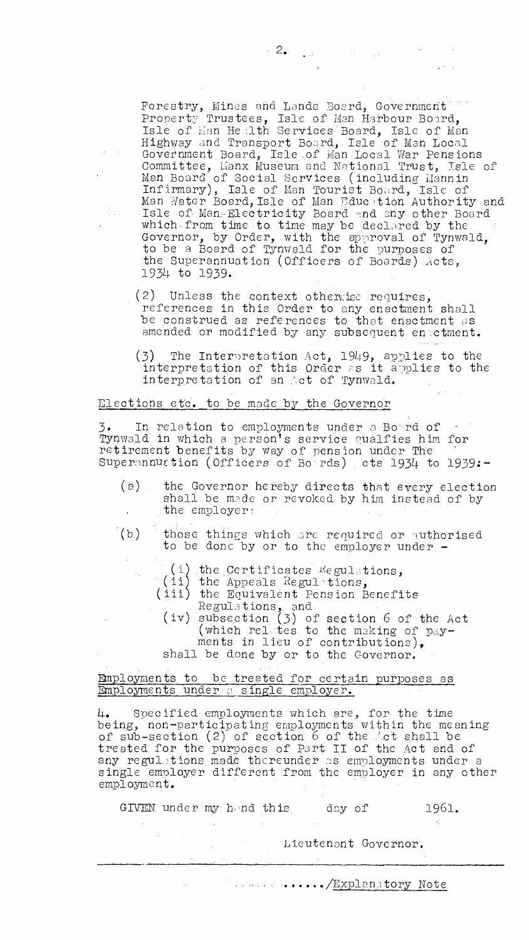Forestry, Mines and Lands Board, Government Property Trustees, Isle of Man Harbour Board, Isle of Man Health Services Board, Isle of Man Highway and Transport Board, Isle of Man Local Government Board, Isle of Man Local War Pensions Committee, Eanx Museum and National Trust, Isle of Man Board of Social SerVices (including Liannin Infirmary), Isle of Man Tourist Board, Isle of Man Water Board,Isle of Man Education Authority and Isle of Man:.Electricity Board and any other Board which-from time to time may be declared by the Governor, by Order, with the approval of Tynwald, to be a Board of Tynwald for the purposes of the Superannuation (Officers of Boards) Acts, 1934 to 1939..

- $(2)$  Unless the context otherwise requires, references in'this Order to any enactment shall be construed as references to that enactment as amended or modified by any subsequent enactment.
- (3) The Interpretation Act, 1949, applies to the interpretation of this Order as it applies to the interpretation of an Act of Tynwald.

#### Elections etc. to be made by the Governor

3. In relation to employments under n-Bord-of - Tynwald in which a person's service cualfies him for retirement benefits by way of pension under The Superannuation (Officers of Boords) cts 1934 to 1939:-

- (a) the Governor hereby directs that every election shall be made or revoked by him instead of by the employer
- (b) those things which are required or authorised to be done by or to the employer under -
	- (i) the Certificates  $R$ egulations,
	- (ii) the Appeals Regulations,
	- (iii) the Equivalent Pension Benefits Regulations, and.
		- (iv) subsection (3) of Section 6 of the Act (which relates to the making of  $pay$ ments in lieu of contributions), shall be done by or to the Governor.

## Employments to be treated for certain purposes as Employments under a single employer.

L1. Specified employments which are, for the time being, non-participating employments• within the meaning of sub-section  $(2)$  of section 6 of the Act shall be treated for the purposes of Part II of the Act and of any regulations made thereunder as employments under a single employer different from the employer. in any other employment.

GIVEN under my hend this day of 1961.

Lieutenant Governor.

*Explanatory Note*